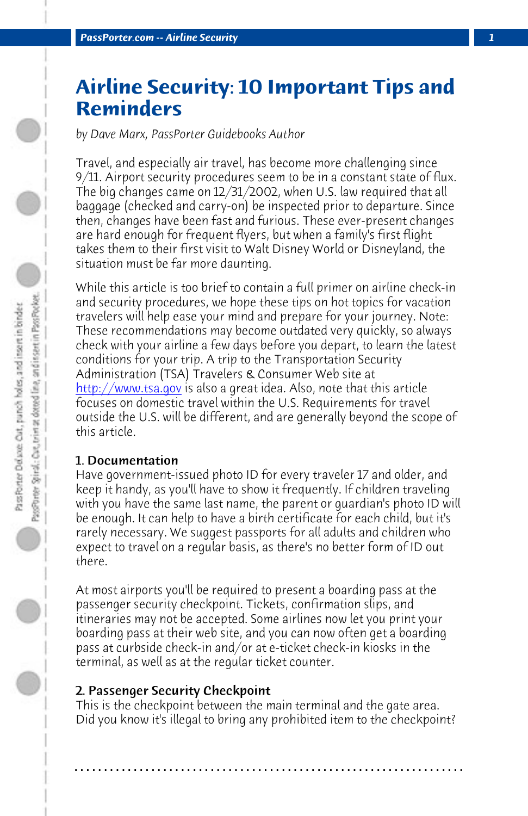*PassPorter.com -- Airline Security 1*

# **Airline Security: 10 Important Tips and Reminders**

*by Dave Marx, PassPorter Guidebooks Author*

Travel, and especially air travel, has become more challenging since 9/11. Airport security procedures seem to be in a constant state of flux. The big changes came on 12/31/2002, when U.S. law required that all baggage (checked and carry-on) be inspected prior to departure. Since then, changes have been fast and furious. These ever-present changes are hard enough for frequent flyers, but when a family's first flight takes them to their first visit to Walt Disney World or Disneyland, the situation must be far more daunting.

While this article is too brief to contain a full primer on airline check-in and security procedures, we hope these tips on hot topics for vacation travelers will help ease your mind and prepare for your journey. Note: These recommendations may become outdated very quickly, so always check with your airline a few days before you depart, to learn the latest conditions for your trip. A trip to the Transportation Security Administration (TSA) Travelers & Consumer Web site at http://www.tsa.gov is also a great idea. Also, note that this article focuses on domestic travel within the U.S. Requirements for travel outside the U.S. will be different, and are generally beyond the scope of this article.

## 1. Documentation

Have government-issued photo ID for every traveler 17 and older, and keep it handy, as you'll have to show it frequently. If children traveling with you have the same last name, the parent or guardian's photo ID will be enough. It can help to have a birth certificate for each child, but it's rarely necessary. We suggest passports for all adults and children who expect to travel on a regular basis, as there's no better form of ID out there.

At most airports you'll be required to present a boarding pass at the passenger security checkpoint. Tickets, confirmation slips, and itineraries may not be accepted. Some airlines now let you print your boarding pass at their web site, and you can now often get a boarding pass at curbside check-in and/or at e-ticket check-in kiosks in the terminal, as well as at the regular ticket counter.

# 2. Passenger Security Checkpoint

This is the checkpoint between the main terminal and the gate area. Did you know it's illegal to bring any prohibited item to the checkpoint?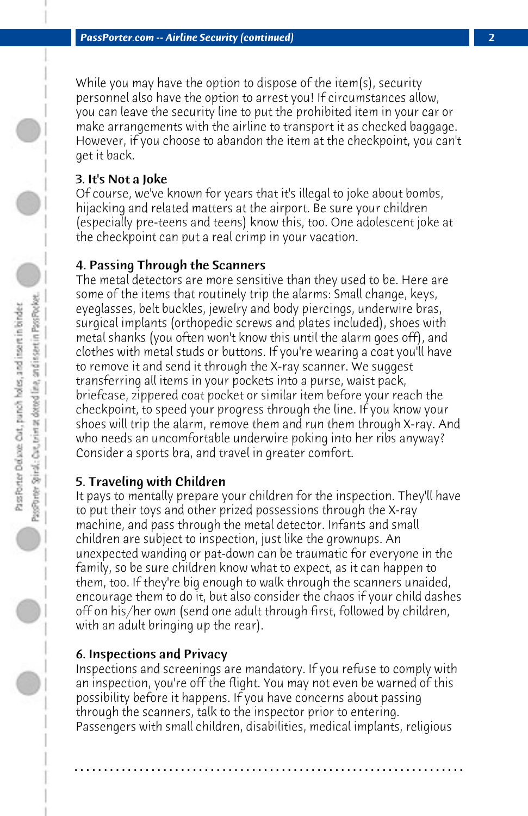While you may have the option to dispose of the item(s), security personnel also have the option to arrest you! If circumstances allow, you can leave the security line to put the prohibited item in your car or make arrangements with the airline to transport it as checked baggage. However, if you choose to abandon the item at the checkpoint, you can't get it back.

# 3. It's Not a Joke

Of course, we've known for years that it's illegal to joke about bombs, hijacking and related matters at the airport. Be sure your children (especially pre-teens and teens) know this, too. One adolescent joke at the checkpoint can put a real crimp in your vacation.

# 4. Passing Through the Scanners

The metal detectors are more sensitive than they used to be. Here are some of the items that routinely trip the alarms: Small change, keys, eyeglasses, belt buckles, jewelry and body piercings, underwire bras, surgical implants (orthopedic screws and plates included), shoes with metal shanks (you often won't know this until the alarm goes off), and clothes with metal studs or buttons. If you're wearing a coat you'll have to remove it and send it through the X-ray scanner. We suggest transferring all items in your pockets into a purse, waist pack, briefcase, zippered coat pocket or similar item before your reach the checkpoint, to speed your progress through the line. If you know your shoes will trip the alarm, remove them and run them through X-ray. And who needs an uncomfortable underwire poking into her ribs anyway? Consider a sports bra, and travel in greater comfort.

# 5. Traveling with Children

It pays to mentally prepare your children for the inspection. They'll have to put their toys and other prized possessions through the X-ray machine, and pass through the metal detector. Infants and small children are subject to inspection, just like the grownups. An unexpected wanding or pat-down can be traumatic for everyone in the family, so be sure children know what to expect, as it can happen to them, too. If they're big enough to walk through the scanners unaided, encourage them to do it, but also consider the chaos if your child dashes off on his/her own (send one adult through first, followed by children, with an adult bringing up the rear).

# 6. Inspections and Privacy

Inspections and screenings are mandatory. If you refuse to comply with an inspection, you're off the flight. You may not even be warned of this possibility before it happens. If you have concerns about passing through the scanners, talk to the inspector prior to entering. Passengers with small children, disabilities, medical implants, religious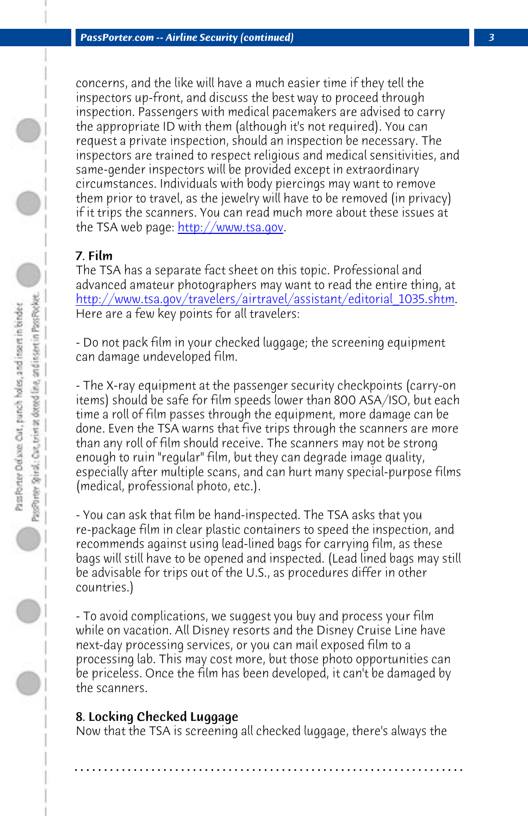*PassPorter.com -- Airline Security (continued) 3*

concerns, and the like will have a much easier time if they tell the inspectors up-front, and discuss the best way to proceed through inspection. Passengers with medical pacemakers are advised to carry the appropriate ID with them (although it's not required). You can request a private inspection, should an inspection be necessary. The inspectors are trained to respect religious and medical sensitivities, and same-gender inspectors will be provided except in extraordinary circumstances. Individuals with body piercings may want to remove them prior to travel, as the jewelry will have to be removed (in privacy) if it trips the scanners. You can read much more about these issues at the TSA web page: http://www.tsa.gov.

## 7. Film

The TSA has a separate fact sheet on this topic. Professional and advanced amateur photographers may want to read the entire thing, at http://www.tsa.gov/travelers/airtravel/assistant/editorial\_1035.shtm. Here are a few key points for all travelers:

- Do not pack film in your checked luggage; the screening equipment can damage undeveloped film.

- The X-ray equipment at the passenger security checkpoints (carry-on items) should be safe for film speeds lower than 800 ASA/ISO, but each time a roll of film passes through the equipment, more damage can be done. Even the TSA warns that five trips through the scanners are more than any roll of film should receive. The scanners may not be strong enough to ruin "regular" film, but they can degrade image quality, especially after multiple scans, and can hurt many special-purpose films (medical, professional photo, etc.).

- You can ask that film be hand-inspected. The TSA asks that you re-package film in clear plastic containers to speed the inspection, and recommends against using lead-lined bags for carrying film, as these bags will still have to be opened and inspected. (Lead lined bags may still be advisable for trips out of the U.S., as procedures differ in other countries.)

- To avoid complications, we suggest you buy and process your film while on vacation. All Disney resorts and the Disney Cruise Line have next-day processing services, or you can mail exposed film to a processing lab. This may cost more, but those photo opportunities can be priceless. Once the film has been developed, it can't be damaged by the scanners.

## 8. Locking Checked Luggage

Now that the TSA is screening all checked luggage, there's always the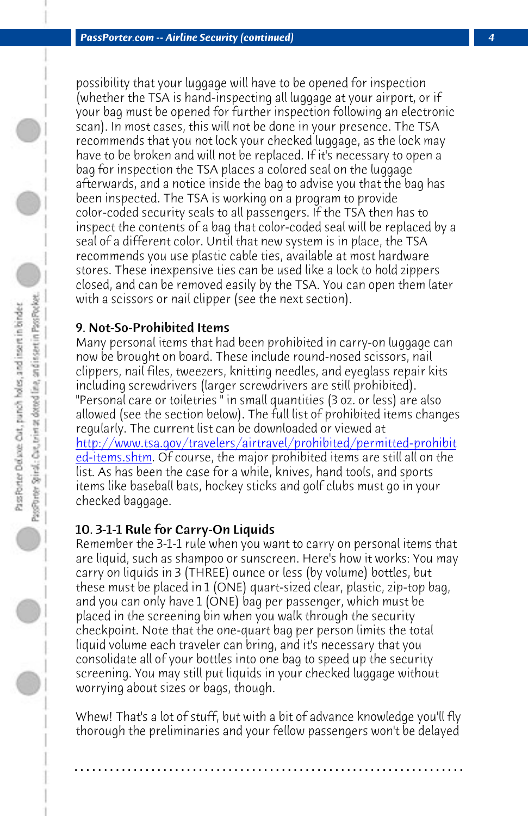*PassPorter.com -- Airline Security (continued) 4*

possibility that your luggage will have to be opened for inspection (whether the TSA is hand-inspecting all luggage at your airport, or if your bag must be opened for further inspection following an electronic scan). In most cases, this will not be done in your presence. The TSA recommends that you not lock your checked luggage, as the lock may have to be broken and will not be replaced. If it's necessary to open a bag for inspection the TSA places a colored seal on the luggage afterwards, and a notice inside the bag to advise you that the bag has [been inspected. The TSA is working on a program to provide](http://www.tsa.gov/travelers/airtravel/prohibited/permitted-prohibited-items.shtm) [color-coded se](http://www.tsa.gov/travelers/airtravel/prohibited/permitted-prohibited-items.shtm)curity seals to all passengers. If the TSA then has to inspect the contents of a bag that color-coded seal will be replaced by a seal of a different color. Until that new system is in place, the TSA recommends you use plastic cable ties, available at most hardware stores. These inexpensive ties can be used like a lock to hold zippers closed, and can be removed easily by the TSA. You can open them later with a scissors or nail clipper (see the next section).

## 9. Not-So-Prohibited Items

Many personal items that had been prohibited in carry-on luggage can now be brought on board. These include round-nosed scissors, nail clippers, nail files, tweezers, knitting needles, and eyeglass repair kits including screwdrivers (larger screwdrivers are still prohibited). "Personal care or toiletries " in small quantities (3 oz. or less) are also allowed (see the section below). The full list of prohibited items changes regularly. The current list can be downloaded or viewed at http://www.tsa.gov/travelers/airtravel/prohibited/permitted-prohibit ed-items.shtm. Of course, the major prohibited items are still all on the list. As has been the case for a while, knives, hand tools, and sports items like baseball bats, hockey sticks and golf clubs must go in your checked baggage.

## 10. 3-1-1 Rule for Carry-On Liquids

Remember the 3-1-1 rule when you want to carry on personal items that are liquid, such as shampoo or sunscreen. Here's how it works: You may carry on liquids in 3 (THREE) ounce or less (by volume) bottles, but these must be placed in 1 (ONE) quart-sized clear, plastic, zip-top bag, and you can only have 1 (ONE) bag per passenger, which must be placed in the screening bin when you walk through the security checkpoint. Note that the one-quart bag per person limits the total liquid volume each traveler can bring, and it's necessary that you consolidate all of your bottles into one bag to speed up the security screening. You may still put liquids in your checked luggage without worrying about sizes or bags, though.

Whew! That's a lot of stuff, but with a bit of advance knowledge you'll fly thorough the preliminaries and your fellow passengers won't be delayed